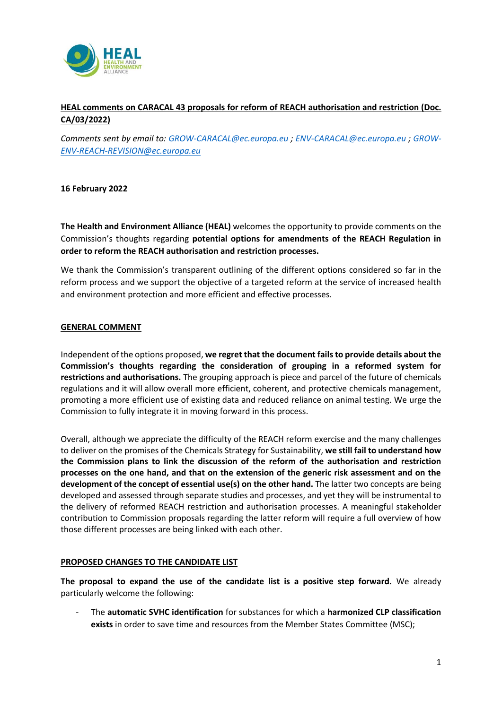

# **HEAL comments on CARACAL 43 proposals for reform of REACH authorisation and restriction (Doc. CA/03/2022)**

*Comments sent by email to: [GROW-CARACAL@ec.europa.eu](mailto:GROW-CARACAL@ec.europa.eu) ; [ENV-CARACAL@ec.europa.eu](mailto:ENV-CARACAL@ec.europa.eu) ; [GROW-](mailto:GROW-ENV-REACH-REVISION@ec.europa.eu)[ENV-REACH-REVISION@ec.europa.eu](mailto:GROW-ENV-REACH-REVISION@ec.europa.eu)*

### **16 February 2022**

**The Health and Environment Alliance (HEAL)** welcomes the opportunity to provide comments on the Commission's thoughts regarding **potential options for amendments of the REACH Regulation in order to reform the REACH authorisation and restriction processes.**

We thank the Commission's transparent outlining of the different options considered so far in the reform process and we support the objective of a targeted reform at the service of increased health and environment protection and more efficient and effective processes.

### **GENERAL COMMENT**

Independent of the options proposed, **we regret that the document fails to provide details about the Commission's thoughts regarding the consideration of grouping in a reformed system for restrictions and authorisations.** The grouping approach is piece and parcel of the future of chemicals regulations and it will allow overall more efficient, coherent, and protective chemicals management, promoting a more efficient use of existing data and reduced reliance on animal testing. We urge the Commission to fully integrate it in moving forward in this process.

Overall, although we appreciate the difficulty of the REACH reform exercise and the many challenges to deliver on the promises of the Chemicals Strategy for Sustainability, **we still fail to understand how the Commission plans to link the discussion of the reform of the authorisation and restriction processes on the one hand, and that on the extension of the generic risk assessment and on the development of the concept of essential use(s) on the other hand.** The latter two concepts are being developed and assessed through separate studies and processes, and yet they will be instrumental to the delivery of reformed REACH restriction and authorisation processes. A meaningful stakeholder contribution to Commission proposals regarding the latter reform will require a full overview of how those different processes are being linked with each other.

### **PROPOSED CHANGES TO THE CANDIDATE LIST**

**The proposal to expand the use of the candidate list is a positive step forward.** We already particularly welcome the following:

- The **automatic SVHC identification** for substances for which a **harmonized CLP classification exists** in order to save time and resources from the Member States Committee (MSC);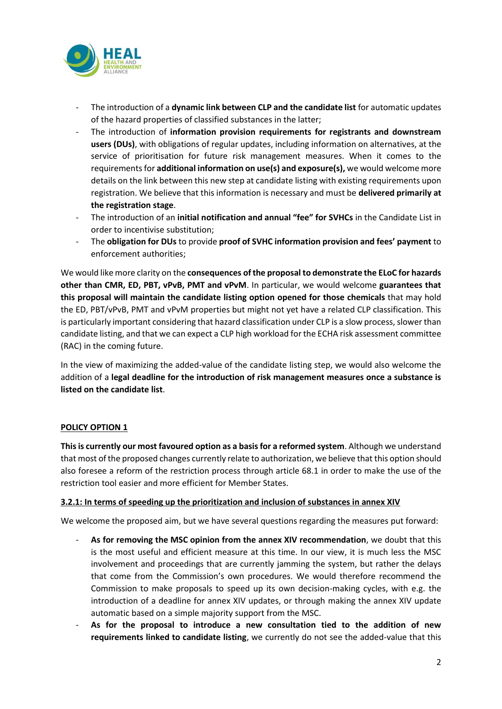

- The introduction of a **dynamic link between CLP and the candidate list** for automatic updates of the hazard properties of classified substances in the latter;
- The introduction of **information provision requirements for registrants and downstream users (DUs)**, with obligations of regular updates, including information on alternatives, at the service of prioritisation for future risk management measures. When it comes to the requirementsfor **additional information on use(s) and exposure(s),** we would welcome more details on the link between this new step at candidate listing with existing requirements upon registration. We believe that this information is necessary and must be **delivered primarily at the registration stage**.
- The introduction of an **initial notification and annual "fee" for SVHCs** in the Candidate List in order to incentivise substitution;
- The **obligation for DUs** to provide **proof of SVHC information provision and fees' payment** to enforcement authorities;

We would like more clarity on the **consequences of the proposal to demonstrate the ELoC for hazards other than CMR, ED, PBT, vPvB, PMT and vPvM**. In particular, we would welcome **guarantees that this proposal will maintain the candidate listing option opened for those chemicals** that may hold the ED, PBT/vPvB, PMT and vPvM properties but might not yet have a related CLP classification. This is particularly important considering that hazard classification under CLP is a slow process, slower than candidate listing, and that we can expect a CLP high workload for the ECHA risk assessment committee (RAC) in the coming future.

In the view of maximizing the added-value of the candidate listing step, we would also welcome the addition of a **legal deadline for the introduction of risk management measures once a substance is listed on the candidate list**.

# **POLICY OPTION 1**

**This is currently our most favoured option as a basis for a reformed system**. Although we understand that most of the proposed changes currently relate to authorization, we believe that this option should also foresee a reform of the restriction process through article 68.1 in order to make the use of the restriction tool easier and more efficient for Member States.

### **3.2.1: In terms of speeding up the prioritization and inclusion of substances in annex XIV**

We welcome the proposed aim, but we have several questions regarding the measures put forward:

- **As for removing the MSC opinion from the annex XIV recommendation**, we doubt that this is the most useful and efficient measure at this time. In our view, it is much less the MSC involvement and proceedings that are currently jamming the system, but rather the delays that come from the Commission's own procedures. We would therefore recommend the Commission to make proposals to speed up its own decision-making cycles, with e.g. the introduction of a deadline for annex XIV updates, or through making the annex XIV update automatic based on a simple majority support from the MSC.
- **As for the proposal to introduce a new consultation tied to the addition of new requirements linked to candidate listing**, we currently do not see the added-value that this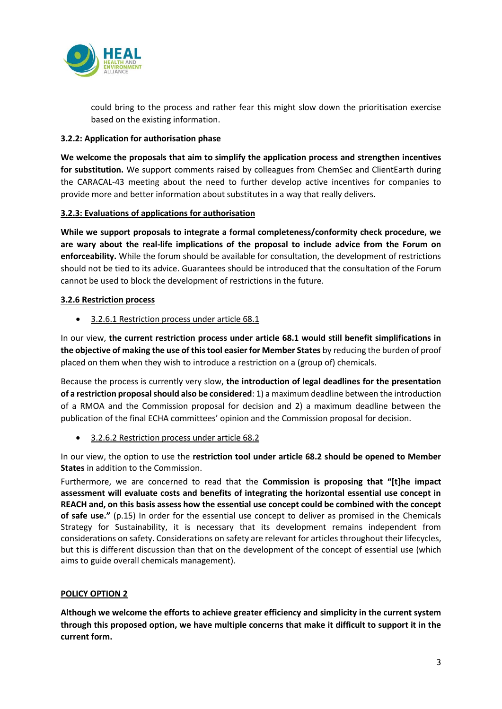

could bring to the process and rather fear this might slow down the prioritisation exercise based on the existing information.

## **3.2.2: Application for authorisation phase**

**We welcome the proposals that aim to simplify the application process and strengthen incentives**  for substitution. We support comments raised by colleagues from ChemSec and ClientEarth during the CARACAL-43 meeting about the need to further develop active incentives for companies to provide more and better information about substitutes in a way that really delivers.

### **3.2.3: Evaluations of applications for authorisation**

**While we support proposals to integrate a formal completeness/conformity check procedure, we are wary about the real-life implications of the proposal to include advice from the Forum on enforceability.** While the forum should be available for consultation, the development of restrictions should not be tied to its advice. Guarantees should be introduced that the consultation of the Forum cannot be used to block the development of restrictions in the future.

### **3.2.6 Restriction process**

• 3.2.6.1 Restriction process under article 68.1

In our view, **the current restriction process under article 68.1 would still benefit simplifications in the objective of making the use of this tool easier for Member States** by reducing the burden of proof placed on them when they wish to introduce a restriction on a (group of) chemicals.

Because the process is currently very slow, **the introduction of legal deadlines for the presentation of a restriction proposal should also be considered**: 1) a maximum deadline between the introduction of a RMOA and the Commission proposal for decision and 2) a maximum deadline between the publication of the final ECHA committees' opinion and the Commission proposal for decision.

• 3.2.6.2 Restriction process under article 68.2

In our view, the option to use the **restriction tool under article 68.2 should be opened to Member States** in addition to the Commission.

Furthermore, we are concerned to read that the **Commission is proposing that "[t]he impact assessment will evaluate costs and benefits of integrating the horizontal essential use concept in REACH and, on this basis assess how the essential use concept could be combined with the concept of safe use."** (p.15) In order for the essential use concept to deliver as promised in the Chemicals Strategy for Sustainability, it is necessary that its development remains independent from considerations on safety. Considerations on safety are relevant for articles throughout their lifecycles, but this is different discussion than that on the development of the concept of essential use (which aims to guide overall chemicals management).

# **POLICY OPTION 2**

**Although we welcome the efforts to achieve greater efficiency and simplicity in the current system through this proposed option, we have multiple concerns that make it difficult to support it in the current form.**